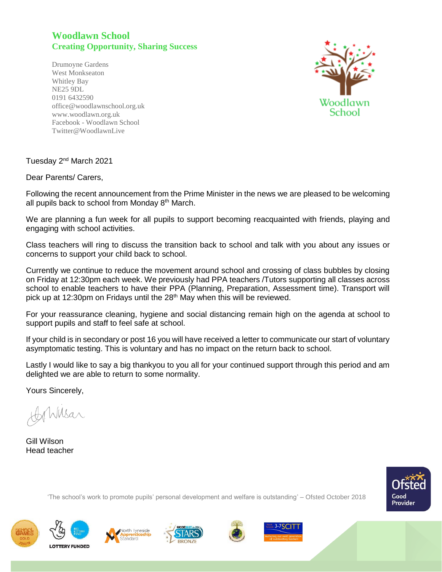## **Woodlawn School Creating Opportunity, Sharing Success**

Drumoyne Gardens West Monkseaton Whitley Bay NE25 9DL 0191 6432590 office@woodlawnschool.org.uk [www.woodlawn.](http://www.woodlawn/)org.uk Facebook - Woodlawn School Twitter@WoodlawnLive



Tuesday 2nd March 2021

Dear Parents/ Carers,

Following the recent announcement from the Prime Minister in the news we are pleased to be welcoming all pupils back to school from Monday  $8<sup>th</sup>$  March.

We are planning a fun week for all pupils to support becoming reacquainted with friends, playing and engaging with school activities.

Class teachers will ring to discuss the transition back to school and talk with you about any issues or concerns to support your child back to school.

Currently we continue to reduce the movement around school and crossing of class bubbles by closing on Friday at 12:30pm each week. We previously had PPA teachers /Tutors supporting all classes across school to enable teachers to have their PPA (Planning, Preparation, Assessment time). Transport will pick up at 12:30pm on Fridays until the 28<sup>th</sup> May when this will be reviewed.

For your reassurance cleaning, hygiene and social distancing remain high on the agenda at school to support pupils and staff to feel safe at school.

If your child is in secondary or post 16 you will have received a letter to communicate our start of voluntary asymptomatic testing. This is voluntary and has no impact on the return back to school.

Lastly I would like to say a big thankyou to you all for your continued support through this period and am delighted we are able to return to some normality.

Yours Sincerely,

Wilsar

Gill Wilson Head teacher



'The school's work to promote pupils' personal development and welfare is outstanding' – Ofsted October 2018